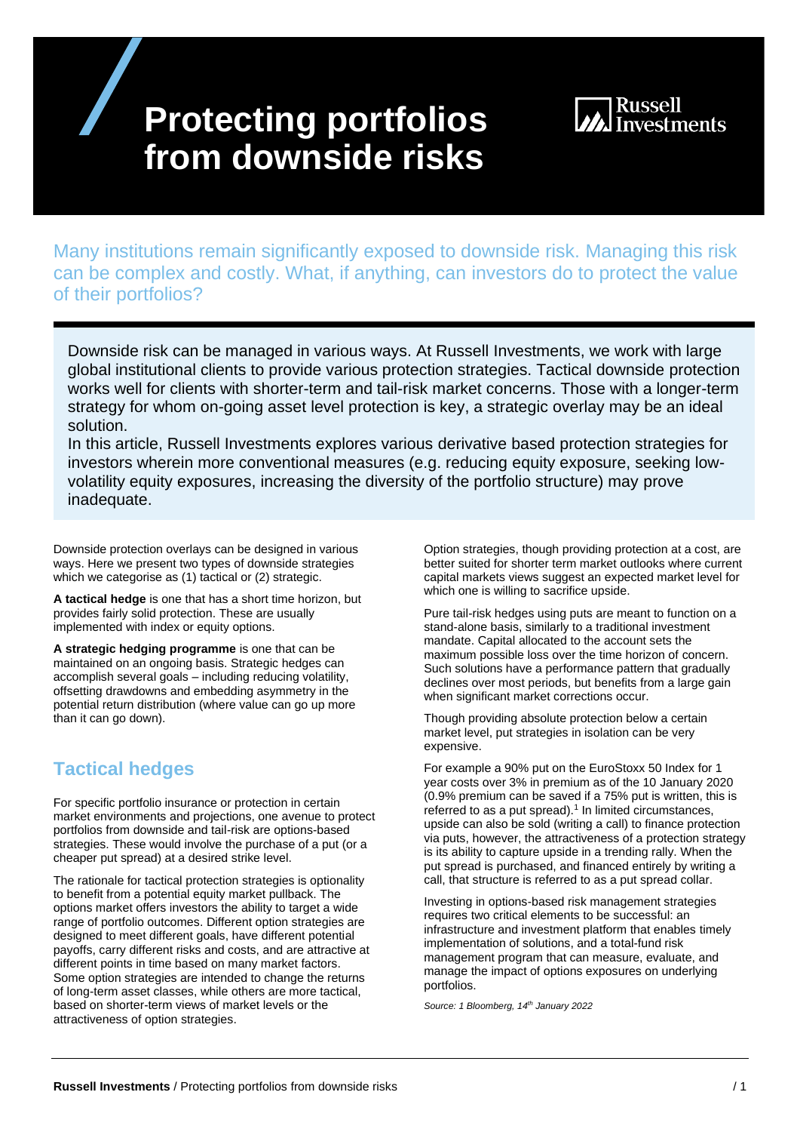# **Protecting portfolios from downside risks**



Many institutions remain significantly exposed to downside risk. Managing this risk can be complex and costly. What, if anything, can investors do to protect the value of their portfolios?

Downside risk can be managed in various ways. At Russell Investments, we work with large global institutional clients to provide various protection strategies. Tactical downside protection works well for clients with shorter-term and tail-risk market concerns. Those with a longer-term strategy for whom on-going asset level protection is key, a strategic overlay may be an ideal solution.

In this article, Russell Investments explores various derivative based protection strategies for investors wherein more conventional measures (e.g. reducing equity exposure, seeking lowvolatility equity exposures, increasing the diversity of the portfolio structure) may prove inadequate.

Downside protection overlays can be designed in various ways. Here we present two types of downside strategies which we categorise as (1) tactical or (2) strategic.

**A tactical hedge** is one that has a short time horizon, but provides fairly solid protection. These are usually implemented with index or equity options.

**A strategic hedging programme** is one that can be maintained on an ongoing basis. Strategic hedges can accomplish several goals – including reducing volatility, offsetting drawdowns and embedding asymmetry in the potential return distribution (where value can go up more than it can go down).

## **Tactical hedges**

For specific portfolio insurance or protection in certain market environments and projections, one avenue to protect portfolios from downside and tail-risk are options-based strategies. These would involve the purchase of a put (or a cheaper put spread) at a desired strike level.

The rationale for tactical protection strategies is optionality to benefit from a potential equity market pullback. The options market offers investors the ability to target a wide range of portfolio outcomes. Different option strategies are designed to meet different goals, have different potential payoffs, carry different risks and costs, and are attractive at different points in time based on many market factors. Some option strategies are intended to change the returns of long-term asset classes, while others are more tactical, based on shorter-term views of market levels or the attractiveness of option strategies.

Option strategies, though providing protection at a cost, are better suited for shorter term market outlooks where current capital markets views suggest an expected market level for which one is willing to sacrifice upside.

Pure tail-risk hedges using puts are meant to function on a stand-alone basis, similarly to a traditional investment mandate. Capital allocated to the account sets the maximum possible loss over the time horizon of concern. Such solutions have a performance pattern that gradually declines over most periods, but benefits from a large gain when significant market corrections occur.

Though providing absolute protection below a certain market level, put strategies in isolation can be very expensive.

For example a 90% put on the EuroStoxx 50 Index for 1 year costs over 3% in premium as of the 10 January 2020 (0.9% premium can be saved if a 75% put is written, this is referred to as a put spread). $1$  In limited circumstances, upside can also be sold (writing a call) to finance protection via puts, however, the attractiveness of a protection strategy is its ability to capture upside in a trending rally. When the put spread is purchased, and financed entirely by writing a call, that structure is referred to as a put spread collar.

Investing in options-based risk management strategies requires two critical elements to be successful: an infrastructure and investment platform that enables timely implementation of solutions, and a total-fund risk management program that can measure, evaluate, and manage the impact of options exposures on underlying portfolios.

*Source: 1 Bloomberg, 14 th January 2022*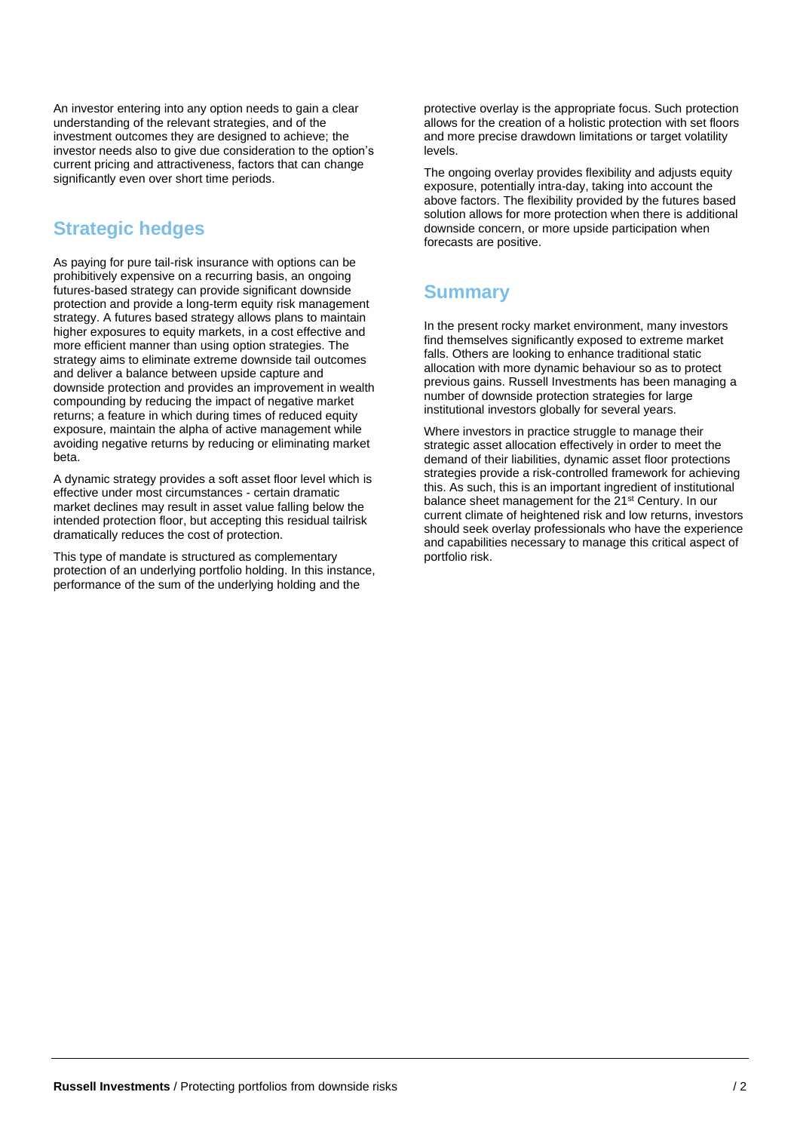An investor entering into any option needs to gain a clear understanding of the relevant strategies, and of the investment outcomes they are designed to achieve; the investor needs also to give due consideration to the option's current pricing and attractiveness, factors that can change significantly even over short time periods.

## **Strategic hedges**

As paying for pure tail-risk insurance with options can be prohibitively expensive on a recurring basis, an ongoing futures-based strategy can provide significant downside protection and provide a long-term equity risk management strategy. A futures based strategy allows plans to maintain higher exposures to equity markets, in a cost effective and more efficient manner than using option strategies. The strategy aims to eliminate extreme downside tail outcomes and deliver a balance between upside capture and downside protection and provides an improvement in wealth compounding by reducing the impact of negative market returns; a feature in which during times of reduced equity exposure, maintain the alpha of active management while avoiding negative returns by reducing or eliminating market beta.

A dynamic strategy provides a soft asset floor level which is effective under most circumstances - certain dramatic market declines may result in asset value falling below the intended protection floor, but accepting this residual tailrisk dramatically reduces the cost of protection.

This type of mandate is structured as complementary protection of an underlying portfolio holding. In this instance, performance of the sum of the underlying holding and the

protective overlay is the appropriate focus. Such protection allows for the creation of a holistic protection with set floors and more precise drawdown limitations or target volatility levels.

The ongoing overlay provides flexibility and adjusts equity exposure, potentially intra-day, taking into account the above factors. The flexibility provided by the futures based solution allows for more protection when there is additional downside concern, or more upside participation when forecasts are positive.

### **Summary**

In the present rocky market environment, many investors find themselves significantly exposed to extreme market falls. Others are looking to enhance traditional static allocation with more dynamic behaviour so as to protect previous gains. Russell Investments has been managing a number of downside protection strategies for large institutional investors globally for several years.

Where investors in practice struggle to manage their strategic asset allocation effectively in order to meet the demand of their liabilities, dynamic asset floor protections strategies provide a risk-controlled framework for achieving this. As such, this is an important ingredient of institutional balance sheet management for the 21<sup>st</sup> Century. In our current climate of heightened risk and low returns, investors should seek overlay professionals who have the experience and capabilities necessary to manage this critical aspect of portfolio risk.